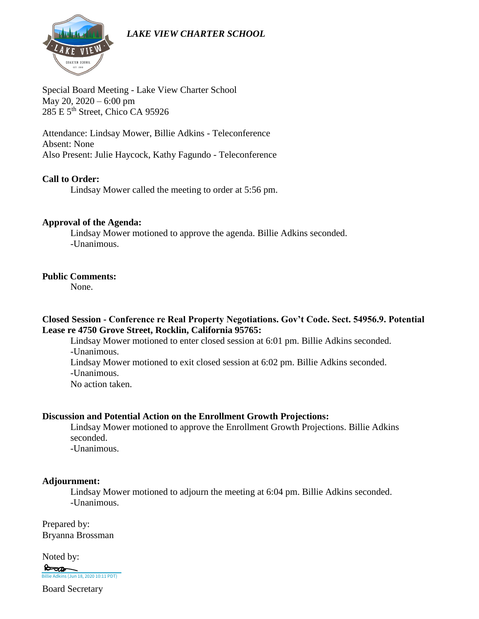*LAKE VIEW CHARTER SCHOOL*



Special Board Meeting - Lake View Charter School May 20, 2020 – 6:00 pm 285 E 5th Street, Chico CA 95926

Attendance: Lindsay Mower, Billie Adkins - Teleconference Absent: None Also Present: Julie Haycock, Kathy Fagundo - Teleconference

### **Call to Order:**

Lindsay Mower called the meeting to order at 5:56 pm.

#### **Approval of the Agenda:**

Lindsay Mower motioned to approve the agenda. Billie Adkins seconded. -Unanimous.

#### **Public Comments:**

None.

### **Closed Session - Conference re Real Property Negotiations. Gov't Code. Sect. 54956.9. Potential Lease re 4750 Grove Street, Rocklin, California 95765:**

Lindsay Mower motioned to enter closed session at 6:01 pm. Billie Adkins seconded. -Unanimous. Lindsay Mower motioned to exit closed session at 6:02 pm. Billie Adkins seconded. -Unanimous.

No action taken.

### **Discussion and Potential Action on the Enrollment Growth Projections:**

Lindsay Mower motioned to approve the Enrollment Growth Projections. Billie Adkins seconded.

-Unanimous.

#### **Adjournment:**

Lindsay Mower motioned to adjourn the meeting at 6:04 pm. Billie Adkins seconded. -Unanimous.

Prepared by: Bryanna Brossman

Noted by: **[Billie Adkins \(Jun 18, 2020 10:11 PDT\)](https://na2.documents.adobe.com/verifier?tx=CBJCHBCAABAAMX_MCQZlXEjYXrcZDU0a1yWjYaS7gbB8)** 

Board Secretary